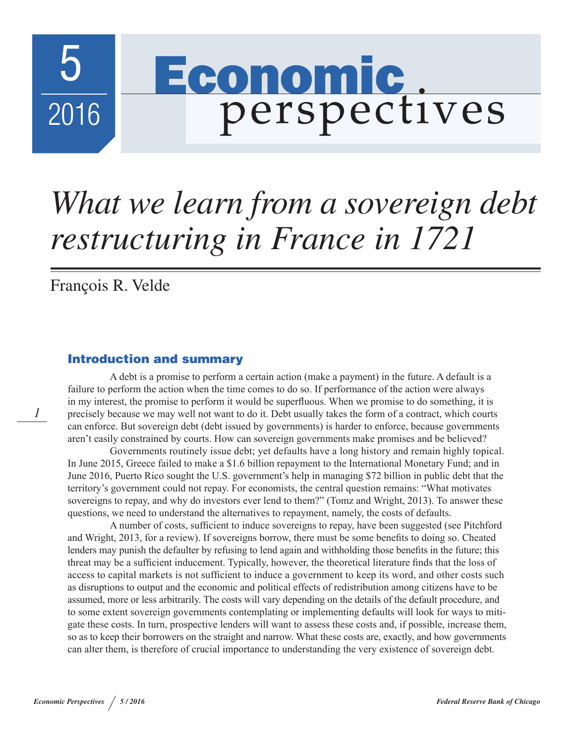

# *What we learn from a sovereign debt restructuring in France in 1721*

François R. Velde

*1*

## Introduction and summary

A debt is a promise to perform a certain action (make a payment) in the future. A default is a failure to perform the action when the time comes to do so. If performance of the action were always in my interest, the promise to perform it would be superfluous. When we promise to do something, it is precisely because we may well not want to do it. Debt usually takes the form of a contract, which courts can enforce. But sovereign debt (debt issued by governments) is harder to enforce, because governments aren't easily constrained by courts. How can sovereign governments make promises and be believed?

Governments routinely issue debt; yet defaults have a long history and remain highly topical. In June 2015, Greece failed to make a \$1.6 billion repayment to the International Monetary Fund; and in June 2016, Puerto Rico sought the U.S. government's help in managing \$72 billion in public debt that the territory's government could not repay. For economists, the central question remains: "What motivates sovereigns to repay, and why do investors ever lend to them?" (Tomz and Wright, 2013). To answer these questions, we need to understand the alternatives to repayment, namely, the costs of defaults.

A number of costs, sufficient to induce sovereigns to repay, have been suggested (see Pitchford and Wright, 2013, for a review). If sovereigns borrow, there must be some benefits to doing so. Cheated lenders may punish the defaulter by refusing to lend again and withholding those benefits in the future; this threat may be a sufficient inducement. Typically, however, the theoretical literature finds that the loss of access to capital markets is not sufficient to induce a government to keep its word, and other costs such as disruptions to output and the economic and political effects of redistribution among citizens have to be assumed, more or less arbitrarily. The costs will vary depending on the details of the default procedure, and to some extent sovereign governments contemplating or implementing defaults will look for ways to mitigate these costs. In turn, prospective lenders will want to assess these costs and, if possible, increase them, so as to keep their borrowers on the straight and narrow. What these costs are, exactly, and how governments can alter them, is therefore of crucial importance to understanding the very existence of sovereign debt.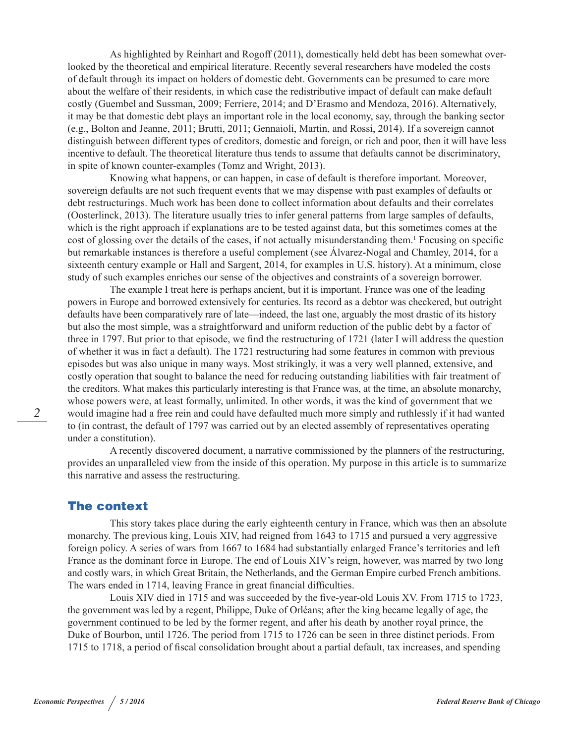As highlighted by Reinhart and Rogoff (2011), domestically held debt has been somewhat overlooked by the theoretical and empirical literature. Recently several researchers have modeled the costs of default through its impact on holders of domestic debt. Governments can be presumed to care more about the welfare of their residents, in which case the redistributive impact of default can make default costly (Guembel and Sussman, 2009; Ferriere, 2014; and D'Erasmo and Mendoza, 2016). Alternatively, it may be that domestic debt plays an important role in the local economy, say, through the banking sector (e.g., Bolton and Jeanne, 2011; Brutti, 2011; Gennaioli, Martin, and Rossi, 2014). If a sovereign cannot distinguish between different types of creditors, domestic and foreign, or rich and poor, then it will have less incentive to default. The theoretical literature thus tends to assume that defaults cannot be discriminatory, in spite of known counter-examples (Tomz and Wright, 2013).

Knowing what happens, or can happen, in case of default is therefore important. Moreover, sovereign defaults are not such frequent events that we may dispense with past examples of defaults or debt restructurings. Much work has been done to collect information about defaults and their correlates (Oosterlinck, 2013). The literature usually tries to infer general patterns from large samples of defaults, which is the right approach if explanations are to be tested against data, but this sometimes comes at the cost of glossing over the details of the cases, if not actually misunderstanding them.<sup>1</sup> Focusing on specific but remarkable instances is therefore a useful complement (see Álvarez-Nogal and Chamley, 2014, for a sixteenth century example or Hall and Sargent, 2014, for examples in U.S. history). At a minimum, close study of such examples enriches our sense of the objectives and constraints of a sovereign borrower.

The example I treat here is perhaps ancient, but it is important. France was one of the leading powers in Europe and borrowed extensively for centuries. Its record as a debtor was checkered, but outright defaults have been comparatively rare of late—indeed, the last one, arguably the most drastic of its history but also the most simple, was a straightforward and uniform reduction of the public debt by a factor of three in 1797. But prior to that episode, we find the restructuring of 1721 (later I will address the question of whether it was in fact a default). The 1721 restructuring had some features in common with previous episodes but was also unique in many ways. Most strikingly, it was a very well planned, extensive, and costly operation that sought to balance the need for reducing outstanding liabilities with fair treatment of the creditors. What makes this particularly interesting is that France was, at the time, an absolute monarchy, whose powers were, at least formally, unlimited. In other words, it was the kind of government that we would imagine had a free rein and could have defaulted much more simply and ruthlessly if it had wanted to (in contrast, the default of 1797 was carried out by an elected assembly of representatives operating under a constitution).

A recently discovered document, a narrative commissioned by the planners of the restructuring, provides an unparalleled view from the inside of this operation. My purpose in this article is to summarize this narrative and assess the restructuring.

#### The context

This story takes place during the early eighteenth century in France, which was then an absolute monarchy. The previous king, Louis XIV, had reigned from 1643 to 1715 and pursued a very aggressive foreign policy. A series of wars from 1667 to 1684 had substantially enlarged France's territories and left France as the dominant force in Europe. The end of Louis XIV's reign, however, was marred by two long and costly wars, in which Great Britain, the Netherlands, and the German Empire curbed French ambitions. The wars ended in 1714, leaving France in great financial difficulties.

Louis XIV died in 1715 and was succeeded by the five-year-old Louis XV. From 1715 to 1723, the government was led by a regent, Philippe, Duke of Orléans; after the king became legally of age, the government continued to be led by the former regent, and after his death by another royal prince, the Duke of Bourbon, until 1726. The period from 1715 to 1726 can be seen in three distinct periods. From 1715 to 1718, a period of fiscal consolidation brought about a partial default, tax increases, and spending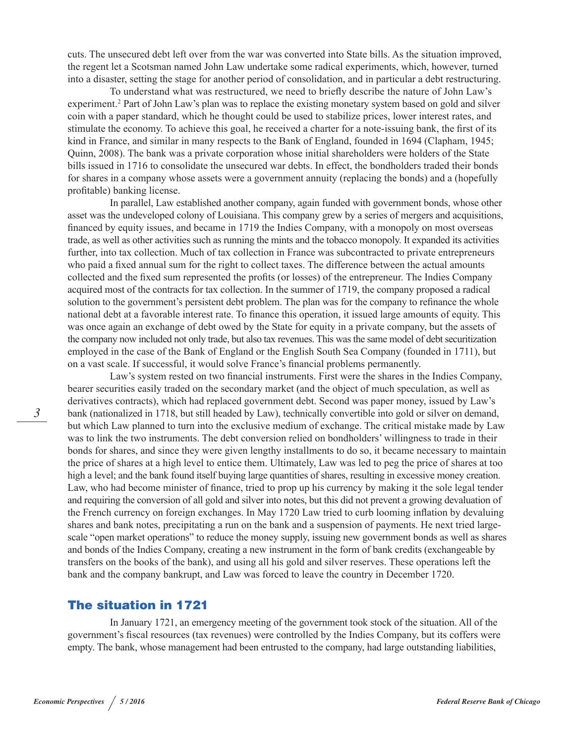cuts. The unsecured debt left over from the war was converted into State bills. As the situation improved, the regent let a Scotsman named John Law undertake some radical experiments, which, however, turned into a disaster, setting the stage for another period of consolidation, and in particular a debt restructuring.

To understand what was restructured, we need to briefly describe the nature of John Law's experiment.<sup>2</sup> Part of John Law's plan was to replace the existing monetary system based on gold and silver coin with a paper standard, which he thought could be used to stabilize prices, lower interest rates, and stimulate the economy. To achieve this goal, he received a charter for a note-issuing bank, the first of its kind in France, and similar in many respects to the Bank of England, founded in 1694 (Clapham, 1945; Quinn, 2008). The bank was a private corporation whose initial shareholders were holders of the State bills issued in 1716 to consolidate the unsecured war debts. In effect, the bondholders traded their bonds for shares in a company whose assets were a government annuity (replacing the bonds) and a (hopefully profitable) banking license.

In parallel, Law established another company, again funded with government bonds, whose other asset was the undeveloped colony of Louisiana. This company grew by a series of mergers and acquisitions, financed by equity issues, and became in 1719 the Indies Company, with a monopoly on most overseas trade, as well as other activities such as running the mints and the tobacco monopoly. It expanded its activities further, into tax collection. Much of tax collection in France was subcontracted to private entrepreneurs who paid a fixed annual sum for the right to collect taxes. The difference between the actual amounts collected and the fixed sum represented the profits (or losses) of the entrepreneur. The Indies Company acquired most of the contracts for tax collection. In the summer of 1719, the company proposed a radical solution to the government's persistent debt problem. The plan was for the company to refinance the whole national debt at a favorable interest rate. To finance this operation, it issued large amounts of equity. This was once again an exchange of debt owed by the State for equity in a private company, but the assets of the company now included not only trade, but also tax revenues. This was the same model of debt securitization employed in the case of the Bank of England or the English South Sea Company (founded in 1711), but on a vast scale. If successful, it would solve France's financial problems permanently.

Law's system rested on two financial instruments. First were the shares in the Indies Company, bearer securities easily traded on the secondary market (and the object of much speculation, as well as derivatives contracts), which had replaced government debt. Second was paper money, issued by Law's bank (nationalized in 1718, but still headed by Law), technically convertible into gold or silver on demand, but which Law planned to turn into the exclusive medium of exchange. The critical mistake made by Law was to link the two instruments. The debt conversion relied on bondholders' willingness to trade in their bonds for shares, and since they were given lengthy installments to do so, it became necessary to maintain the price of shares at a high level to entice them. Ultimately, Law was led to peg the price of shares at too high a level; and the bank found itself buying large quantities of shares, resulting in excessive money creation. Law, who had become minister of finance, tried to prop up his currency by making it the sole legal tender and requiring the conversion of all gold and silver into notes, but this did not prevent a growing devaluation of the French currency on foreign exchanges. In May 1720 Law tried to curb looming inflation by devaluing shares and bank notes, precipitating a run on the bank and a suspension of payments. He next tried largescale "open market operations" to reduce the money supply, issuing new government bonds as well as shares and bonds of the Indies Company, creating a new instrument in the form of bank credits (exchangeable by transfers on the books of the bank), and using all his gold and silver reserves. These operations left the bank and the company bankrupt, and Law was forced to leave the country in December 1720.

## The situation in 1721

In January 1721, an emergency meeting of the government took stock of the situation. All of the government's fiscal resources (tax revenues) were controlled by the Indies Company, but its coffers were empty. The bank, whose management had been entrusted to the company, had large outstanding liabilities,

*3*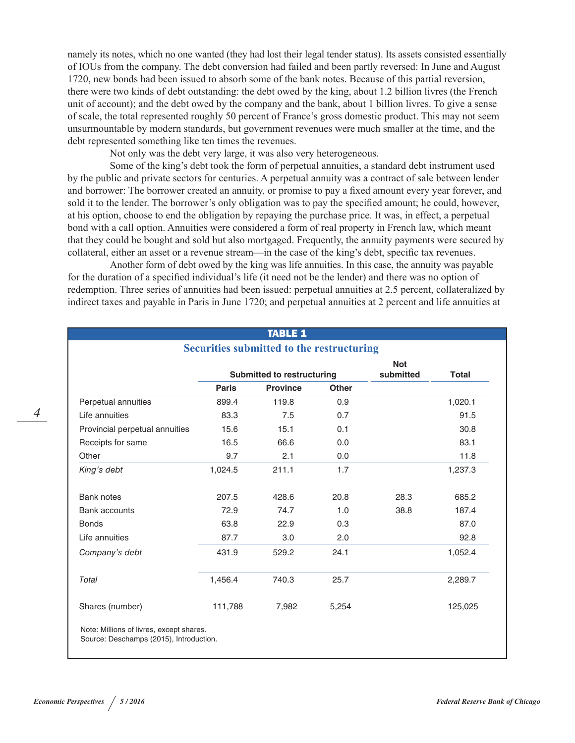namely its notes, which no one wanted (they had lost their legal tender status). Its assets consisted essentially of IOUs from the company. The debt conversion had failed and been partly reversed: In June and August 1720, new bonds had been issued to absorb some of the bank notes. Because of this partial reversion, there were two kinds of debt outstanding: the debt owed by the king, about 1.2 billion livres (the French unit of account); and the debt owed by the company and the bank, about 1 billion livres. To give a sense of scale, the total represented roughly 50 percent of France's gross domestic product. This may not seem unsurmountable by modern standards, but government revenues were much smaller at the time, and the debt represented something like ten times the revenues.

Not only was the debt very large, it was also very heterogeneous.

Some of the king's debt took the form of perpetual annuities, a standard debt instrument used by the public and private sectors for centuries. A perpetual annuity was a contract of sale between lender and borrower: The borrower created an annuity, or promise to pay a fixed amount every year forever, and sold it to the lender. The borrower's only obligation was to pay the specified amount; he could, however, at his option, choose to end the obligation by repaying the purchase price. It was, in effect, a perpetual bond with a call option. Annuities were considered a form of real property in French law, which meant that they could be bought and sold but also mortgaged. Frequently, the annuity payments were secured by collateral, either an asset or a revenue stream—in the case of the king's debt, specific tax revenues.

Another form of debt owed by the king was life annuities. In this case, the annuity was payable for the duration of a specified individual's life (it need not be the lender) and there was no option of redemption. Three series of annuities had been issued: perpetual annuities at 2.5 percent, collateralized by indirect taxes and payable in Paris in June 1720; and perpetual annuities at 2 percent and life annuities at

TABLE 1

|                                |                                   | <b>Securities submitted to the restructuring</b> |              |                         |              |
|--------------------------------|-----------------------------------|--------------------------------------------------|--------------|-------------------------|--------------|
|                                | <b>Submitted to restructuring</b> |                                                  |              | <b>Not</b><br>submitted | <b>Total</b> |
|                                | <b>Paris</b>                      | <b>Province</b>                                  | <b>Other</b> |                         |              |
| Perpetual annuities            | 899.4                             | 119.8                                            | 0.9          |                         | 1,020.1      |
| Life annuities                 | 83.3                              | 7.5                                              | 0.7          |                         | 91.5         |
| Provincial perpetual annuities | 15.6                              | 15.1                                             | 0.1          |                         | 30.8         |
| Receipts for same              | 16.5                              | 66.6                                             | 0.0          |                         | 83.1         |
| Other                          | 9.7                               | 2.1                                              | 0.0          |                         | 11.8         |
| King's debt                    | 1,024.5                           | 211.1                                            | 1.7          |                         | 1,237.3      |
|                                |                                   |                                                  |              |                         |              |
| <b>Bank notes</b>              | 207.5                             | 428.6                                            | 20.8         | 28.3                    | 685.2        |
| <b>Bank accounts</b>           | 72.9                              | 74.7                                             | 1.0          | 38.8                    | 187.4        |
| <b>Bonds</b>                   | 63.8                              | 22.9                                             | 0.3          |                         | 87.0         |
| Life annuities                 | 87.7                              | 3.0                                              | 2.0          |                         | 92.8         |
| Company's debt                 | 431.9                             | 529.2                                            | 24.1         |                         | 1,052.4      |
| Total                          | 1,456.4                           | 740.3                                            | 25.7         |                         | 2,289.7      |
| Shares (number)                | 111,788                           | 7,982                                            | 5,254        |                         | 125,025      |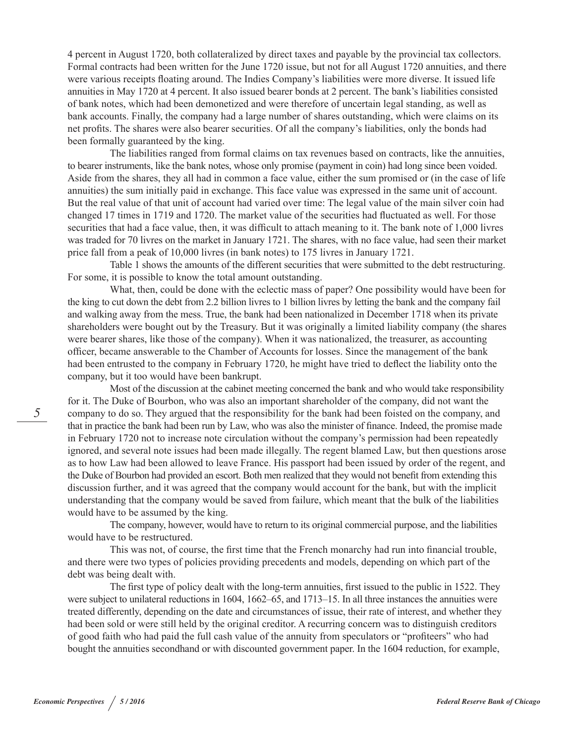4 percent in August 1720, both collateralized by direct taxes and payable by the provincial tax collectors. Formal contracts had been written for the June 1720 issue, but not for all August 1720 annuities, and there were various receipts floating around. The Indies Company's liabilities were more diverse. It issued life annuities in May 1720 at 4 percent. It also issued bearer bonds at 2 percent. The bank's liabilities consisted of bank notes, which had been demonetized and were therefore of uncertain legal standing, as well as bank accounts. Finally, the company had a large number of shares outstanding, which were claims on its net profits. The shares were also bearer securities. Of all the company's liabilities, only the bonds had been formally guaranteed by the king.

The liabilities ranged from formal claims on tax revenues based on contracts, like the annuities, to bearer instruments, like the bank notes, whose only promise (payment in coin) had long since been voided. Aside from the shares, they all had in common a face value, either the sum promised or (in the case of life annuities) the sum initially paid in exchange. This face value was expressed in the same unit of account. But the real value of that unit of account had varied over time: The legal value of the main silver coin had changed 17 times in 1719 and 1720. The market value of the securities had fluctuated as well. For those securities that had a face value, then, it was difficult to attach meaning to it. The bank note of 1,000 livres was traded for 70 livres on the market in January 1721. The shares, with no face value, had seen their market price fall from a peak of 10,000 livres (in bank notes) to 175 livres in January 1721.

Table 1 shows the amounts of the different securities that were submitted to the debt restructuring. For some, it is possible to know the total amount outstanding.

What, then, could be done with the eclectic mass of paper? One possibility would have been for the king to cut down the debt from 2.2 billion livres to 1 billion livres by letting the bank and the company fail and walking away from the mess. True, the bank had been nationalized in December 1718 when its private shareholders were bought out by the Treasury. But it was originally a limited liability company (the shares were bearer shares, like those of the company). When it was nationalized, the treasurer, as accounting officer, became answerable to the Chamber of Accounts for losses. Since the management of the bank had been entrusted to the company in February 1720, he might have tried to deflect the liability onto the company, but it too would have been bankrupt.

Most of the discussion at the cabinet meeting concerned the bank and who would take responsibility for it. The Duke of Bourbon, who was also an important shareholder of the company, did not want the company to do so. They argued that the responsibility for the bank had been foisted on the company, and that in practice the bank had been run by Law, who was also the minister of finance. Indeed, the promise made in February 1720 not to increase note circulation without the company's permission had been repeatedly ignored, and several note issues had been made illegally. The regent blamed Law, but then questions arose as to how Law had been allowed to leave France. His passport had been issued by order of the regent, and the Duke of Bourbon had provided an escort. Both men realized that they would not benefit from extending this discussion further, and it was agreed that the company would account for the bank, but with the implicit understanding that the company would be saved from failure, which meant that the bulk of the liabilities would have to be assumed by the king.

The company, however, would have to return to its original commercial purpose, and the liabilities would have to be restructured.

This was not, of course, the first time that the French monarchy had run into financial trouble, and there were two types of policies providing precedents and models, depending on which part of the debt was being dealt with.

The first type of policy dealt with the long-term annuities, first issued to the public in 1522. They were subject to unilateral reductions in 1604, 1662–65, and 1713–15. In all three instances the annuities were treated differently, depending on the date and circumstances of issue, their rate of interest, and whether they had been sold or were still held by the original creditor. A recurring concern was to distinguish creditors of good faith who had paid the full cash value of the annuity from speculators or "profiteers" who had bought the annuities secondhand or with discounted government paper. In the 1604 reduction, for example,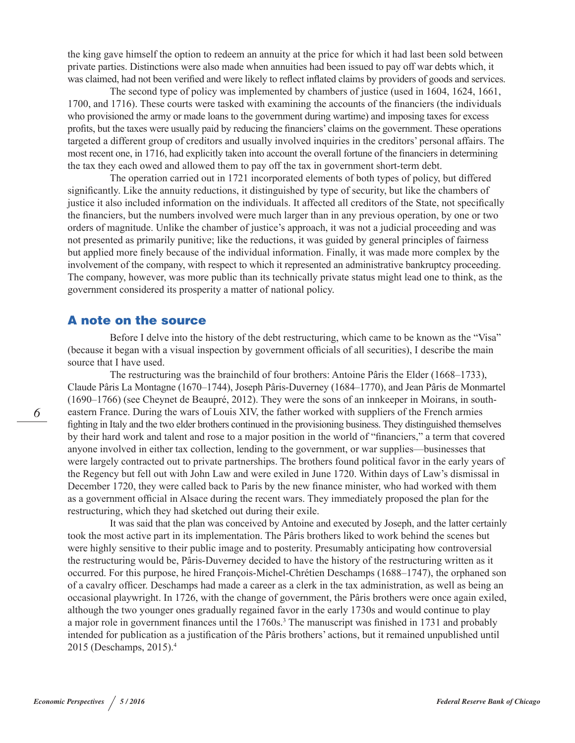the king gave himself the option to redeem an annuity at the price for which it had last been sold between private parties. Distinctions were also made when annuities had been issued to pay off war debts which, it was claimed, had not been verified and were likely to reflect inflated claims by providers of goods and services.

The second type of policy was implemented by chambers of justice (used in 1604, 1624, 1661, 1700, and 1716). These courts were tasked with examining the accounts of the financiers (the individuals who provisioned the army or made loans to the government during wartime) and imposing taxes for excess profits, but the taxes were usually paid by reducing the financiers' claims on the government. These operations targeted a different group of creditors and usually involved inquiries in the creditors' personal affairs. The most recent one, in 1716, had explicitly taken into account the overall fortune of the financiers in determining the tax they each owed and allowed them to pay off the tax in government short-term debt.

The operation carried out in 1721 incorporated elements of both types of policy, but differed significantly. Like the annuity reductions, it distinguished by type of security, but like the chambers of justice it also included information on the individuals. It affected all creditors of the State, not specifically the financiers, but the numbers involved were much larger than in any previous operation, by one or two orders of magnitude. Unlike the chamber of justice's approach, it was not a judicial proceeding and was not presented as primarily punitive; like the reductions, it was guided by general principles of fairness but applied more finely because of the individual information. Finally, it was made more complex by the involvement of the company, with respect to which it represented an administrative bankruptcy proceeding. The company, however, was more public than its technically private status might lead one to think, as the government considered its prosperity a matter of national policy.

### A note on the source

Before I delve into the history of the debt restructuring, which came to be known as the "Visa" (because it began with a visual inspection by government officials of all securities), I describe the main source that I have used.

The restructuring was the brainchild of four brothers: Antoine Pâris the Elder (1668–1733), Claude Pâris La Montagne (1670–1744), Joseph Pâris-Duverney (1684–1770), and Jean Pâris de Monmartel (1690–1766) (see Cheynet de Beaupré, 2012). They were the sons of an innkeeper in Moirans, in southeastern France. During the wars of Louis XIV, the father worked with suppliers of the French armies fighting in Italy and the two elder brothers continued in the provisioning business. They distinguished themselves by their hard work and talent and rose to a major position in the world of "financiers," a term that covered anyone involved in either tax collection, lending to the government, or war supplies—businesses that were largely contracted out to private partnerships. The brothers found political favor in the early years of the Regency but fell out with John Law and were exiled in June 1720. Within days of Law's dismissal in December 1720, they were called back to Paris by the new finance minister, who had worked with them as a government official in Alsace during the recent wars. They immediately proposed the plan for the restructuring, which they had sketched out during their exile.

It was said that the plan was conceived by Antoine and executed by Joseph, and the latter certainly took the most active part in its implementation. The Pâris brothers liked to work behind the scenes but were highly sensitive to their public image and to posterity. Presumably anticipating how controversial the restructuring would be, Pâris-Duverney decided to have the history of the restructuring written as it occurred. For this purpose, he hired François-Michel-Chrétien Deschamps (1688–1747), the orphaned son of a cavalry officer. Deschamps had made a career as a clerk in the tax administration, as well as being an occasional playwright. In 1726, with the change of government, the Pâris brothers were once again exiled, although the two younger ones gradually regained favor in the early 1730s and would continue to play a major role in government finances until the 1760s.<sup>3</sup> The manuscript was finished in 1731 and probably intended for publication as a justification of the Pâris brothers' actions, but it remained unpublished until 2015 (Deschamps, 2015).4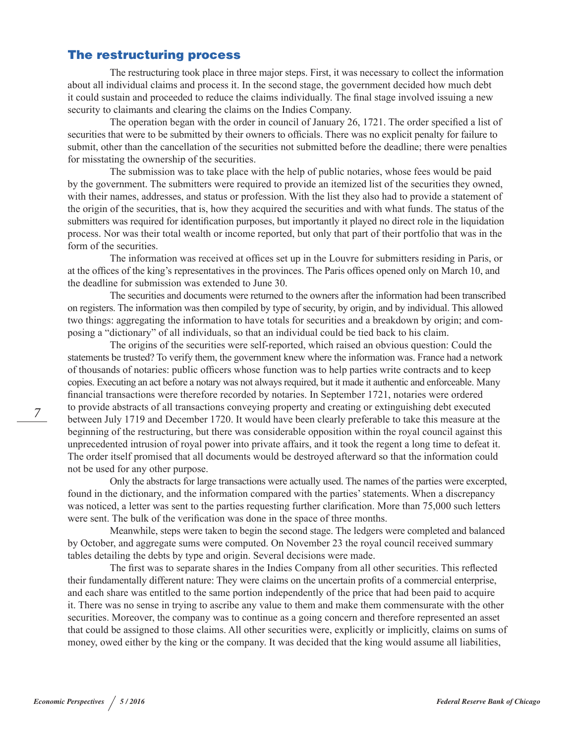## The restructuring process

The restructuring took place in three major steps. First, it was necessary to collect the information about all individual claims and process it. In the second stage, the government decided how much debt it could sustain and proceeded to reduce the claims individually. The final stage involved issuing a new security to claimants and clearing the claims on the Indies Company.

The operation began with the order in council of January 26, 1721. The order specified a list of securities that were to be submitted by their owners to officials. There was no explicit penalty for failure to submit, other than the cancellation of the securities not submitted before the deadline; there were penalties for misstating the ownership of the securities.

The submission was to take place with the help of public notaries, whose fees would be paid by the government. The submitters were required to provide an itemized list of the securities they owned, with their names, addresses, and status or profession. With the list they also had to provide a statement of the origin of the securities, that is, how they acquired the securities and with what funds. The status of the submitters was required for identification purposes, but importantly it played no direct role in the liquidation process. Nor was their total wealth or income reported, but only that part of their portfolio that was in the form of the securities.

The information was received at offices set up in the Louvre for submitters residing in Paris, or at the offices of the king's representatives in the provinces. The Paris offices opened only on March 10, and the deadline for submission was extended to June 30.

The securities and documents were returned to the owners after the information had been transcribed on registers. The information was then compiled by type of security, by origin, and by individual. This allowed two things: aggregating the information to have totals for securities and a breakdown by origin; and composing a "dictionary" of all individuals, so that an individual could be tied back to his claim.

The origins of the securities were self-reported, which raised an obvious question: Could the statements be trusted? To verify them, the government knew where the information was. France had a network of thousands of notaries: public officers whose function was to help parties write contracts and to keep copies. Executing an act before a notary was not always required, but it made it authentic and enforceable. Many financial transactions were therefore recorded by notaries. In September 1721, notaries were ordered to provide abstracts of all transactions conveying property and creating or extinguishing debt executed between July 1719 and December 1720. It would have been clearly preferable to take this measure at the beginning of the restructuring, but there was considerable opposition within the royal council against this unprecedented intrusion of royal power into private affairs, and it took the regent a long time to defeat it. The order itself promised that all documents would be destroyed afterward so that the information could not be used for any other purpose.

Only the abstracts for large transactions were actually used. The names of the parties were excerpted, found in the dictionary, and the information compared with the parties' statements. When a discrepancy was noticed, a letter was sent to the parties requesting further clarification. More than 75,000 such letters were sent. The bulk of the verification was done in the space of three months.

Meanwhile, steps were taken to begin the second stage. The ledgers were completed and balanced by October, and aggregate sums were computed. On November 23 the royal council received summary tables detailing the debts by type and origin. Several decisions were made.

The first was to separate shares in the Indies Company from all other securities. This reflected their fundamentally different nature: They were claims on the uncertain profits of a commercial enterprise, and each share was entitled to the same portion independently of the price that had been paid to acquire it. There was no sense in trying to ascribe any value to them and make them commensurate with the other securities. Moreover, the company was to continue as a going concern and therefore represented an asset that could be assigned to those claims. All other securities were, explicitly or implicitly, claims on sums of money, owed either by the king or the company. It was decided that the king would assume all liabilities,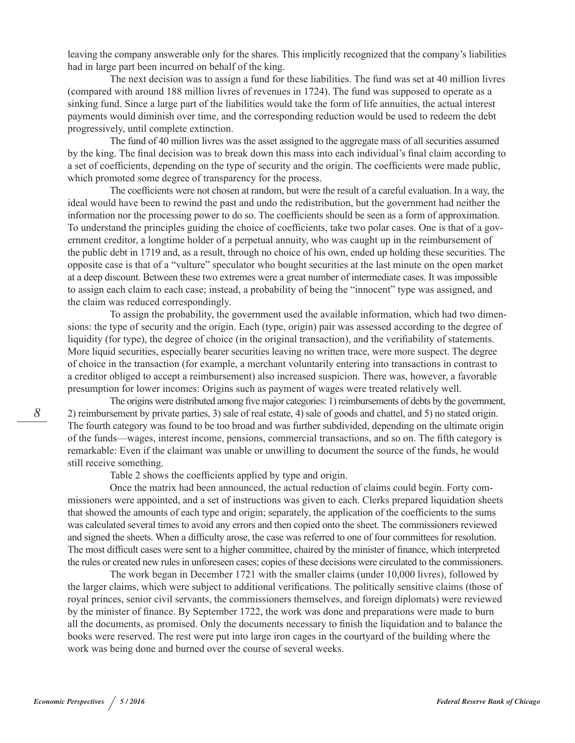leaving the company answerable only for the shares. This implicitly recognized that the company's liabilities had in large part been incurred on behalf of the king.

The next decision was to assign a fund for these liabilities. The fund was set at 40 million livres (compared with around 188 million livres of revenues in 1724). The fund was supposed to operate as a sinking fund. Since a large part of the liabilities would take the form of life annuities, the actual interest payments would diminish over time, and the corresponding reduction would be used to redeem the debt progressively, until complete extinction.

The fund of 40 million livres was the asset assigned to the aggregate mass of all securities assumed by the king. The final decision was to break down this mass into each individual's final claim according to a set of coefficients, depending on the type of security and the origin. The coefficients were made public, which promoted some degree of transparency for the process.

The coefficients were not chosen at random, but were the result of a careful evaluation. In a way, the ideal would have been to rewind the past and undo the redistribution, but the government had neither the information nor the processing power to do so. The coefficients should be seen as a form of approximation. To understand the principles guiding the choice of coefficients, take two polar cases. One is that of a government creditor, a longtime holder of a perpetual annuity, who was caught up in the reimbursement of the public debt in 1719 and, as a result, through no choice of his own, ended up holding these securities. The opposite case is that of a "vulture" speculator who bought securities at the last minute on the open market at a deep discount. Between these two extremes were a great number of intermediate cases. It was impossible to assign each claim to each case; instead, a probability of being the "innocent" type was assigned, and the claim was reduced correspondingly.

To assign the probability, the government used the available information, which had two dimensions: the type of security and the origin. Each (type, origin) pair was assessed according to the degree of liquidity (for type), the degree of choice (in the original transaction), and the verifiability of statements. More liquid securities, especially bearer securities leaving no written trace, were more suspect. The degree of choice in the transaction (for example, a merchant voluntarily entering into transactions in contrast to a creditor obliged to accept a reimbursement) also increased suspicion. There was, however, a favorable presumption for lower incomes: Origins such as payment of wages were treated relatively well.

The origins were distributed among five major categories: 1) reimbursements of debts by the government, 2) reimbursement by private parties, 3) sale of real estate, 4) sale of goods and chattel, and 5) no stated origin. The fourth category was found to be too broad and was further subdivided, depending on the ultimate origin of the funds—wages, interest income, pensions, commercial transactions, and so on. The fifth category is remarkable: Even if the claimant was unable or unwilling to document the source of the funds, he would still receive something.

Table 2 shows the coefficients applied by type and origin.

Once the matrix had been announced, the actual reduction of claims could begin. Forty commissioners were appointed, and a set of instructions was given to each. Clerks prepared liquidation sheets that showed the amounts of each type and origin; separately, the application of the coefficients to the sums was calculated several times to avoid any errors and then copied onto the sheet. The commissioners reviewed and signed the sheets. When a difficulty arose, the case was referred to one of four committees for resolution. The most difficult cases were sent to a higher committee, chaired by the minister of finance, which interpreted the rules or created new rules in unforeseen cases; copies of these decisions were circulated to the commissioners.

The work began in December 1721 with the smaller claims (under 10,000 livres), followed by the larger claims, which were subject to additional verifications. The politically sensitive claims (those of royal princes, senior civil servants, the commissioners themselves, and foreign diplomats) were reviewed by the minister of finance. By September 1722, the work was done and preparations were made to burn all the documents, as promised. Only the documents necessary to finish the liquidation and to balance the books were reserved. The rest were put into large iron cages in the courtyard of the building where the work was being done and burned over the course of several weeks.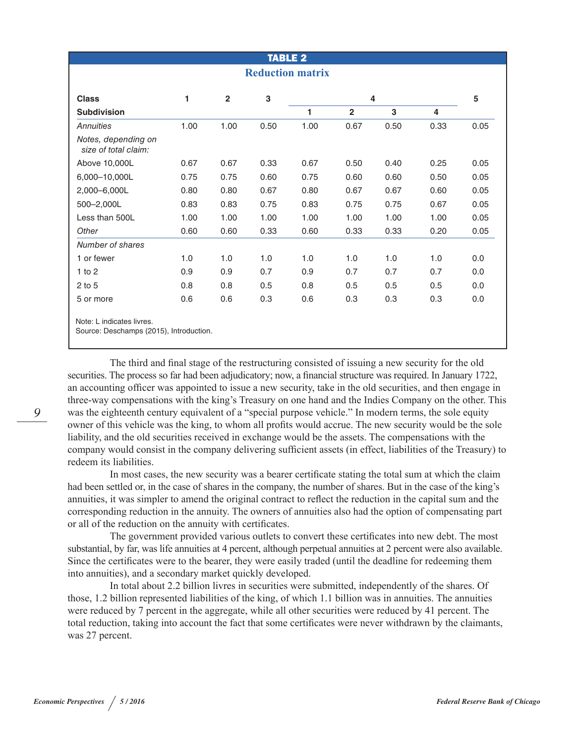|                                                                      |      |                | <b>TABLE 2</b> |      |              |      |      |      |
|----------------------------------------------------------------------|------|----------------|----------------|------|--------------|------|------|------|
| <b>Reduction matrix</b>                                              |      |                |                |      |              |      |      |      |
| <b>Class</b>                                                         | 1    | $\overline{2}$ | ${\bf 3}$      |      | 4            |      |      | 5    |
| <b>Subdivision</b>                                                   |      |                |                | 1    | $\mathbf{2}$ | 3    | 4    |      |
| Annuities                                                            | 1.00 | 1.00           | 0.50           | 1.00 | 0.67         | 0.50 | 0.33 | 0.05 |
| Notes, depending on<br>size of total claim:                          |      |                |                |      |              |      |      |      |
| Above 10,000L                                                        | 0.67 | 0.67           | 0.33           | 0.67 | 0.50         | 0.40 | 0.25 | 0.05 |
| 6,000-10,000L                                                        | 0.75 | 0.75           | 0.60           | 0.75 | 0.60         | 0.60 | 0.50 | 0.05 |
| 2,000-6,000L                                                         | 0.80 | 0.80           | 0.67           | 0.80 | 0.67         | 0.67 | 0.60 | 0.05 |
| 500-2,000L                                                           | 0.83 | 0.83           | 0.75           | 0.83 | 0.75         | 0.75 | 0.67 | 0.05 |
| Less than 500L                                                       | 1.00 | 1.00           | 1.00           | 1.00 | 1.00         | 1.00 | 1.00 | 0.05 |
| Other                                                                | 0.60 | 0.60           | 0.33           | 0.60 | 0.33         | 0.33 | 0.20 | 0.05 |
| Number of shares                                                     |      |                |                |      |              |      |      |      |
| 1 or fewer                                                           | 1.0  | 1.0            | 1.0            | 1.0  | 1.0          | 1.0  | 1.0  | 0.0  |
| $1$ to $2$                                                           | 0.9  | 0.9            | 0.7            | 0.9  | 0.7          | 0.7  | 0.7  | 0.0  |
| $2$ to 5                                                             | 0.8  | 0.8            | 0.5            | 0.8  | 0.5          | 0.5  | 0.5  | 0.0  |
| 5 or more                                                            | 0.6  | 0.6            | 0.3            | 0.6  | 0.3          | 0.3  | 0.3  | 0.0  |
| Note: L indicates livres.<br>Source: Deschamps (2015), Introduction. |      |                |                |      |              |      |      |      |

The third and final stage of the restructuring consisted of issuing a new security for the old securities. The process so far had been adjudicatory; now, a financial structure was required. In January 1722, an accounting officer was appointed to issue a new security, take in the old securities, and then engage in three-way compensations with the king's Treasury on one hand and the Indies Company on the other. This was the eighteenth century equivalent of a "special purpose vehicle." In modern terms, the sole equity owner of this vehicle was the king, to whom all profits would accrue. The new security would be the sole liability, and the old securities received in exchange would be the assets. The compensations with the company would consist in the company delivering sufficient assets (in effect, liabilities of the Treasury) to redeem its liabilities.

In most cases, the new security was a bearer certificate stating the total sum at which the claim had been settled or, in the case of shares in the company, the number of shares. But in the case of the king's annuities, it was simpler to amend the original contract to reflect the reduction in the capital sum and the corresponding reduction in the annuity. The owners of annuities also had the option of compensating part or all of the reduction on the annuity with certificates.

The government provided various outlets to convert these certificates into new debt. The most substantial, by far, was life annuities at 4 percent, although perpetual annuities at 2 percent were also available. Since the certificates were to the bearer, they were easily traded (until the deadline for redeeming them into annuities), and a secondary market quickly developed.

In total about 2.2 billion livres in securities were submitted, independently of the shares. Of those, 1.2 billion represented liabilities of the king, of which 1.1 billion was in annuities. The annuities were reduced by 7 percent in the aggregate, while all other securities were reduced by 41 percent. The total reduction, taking into account the fact that some certificates were never withdrawn by the claimants, was 27 percent.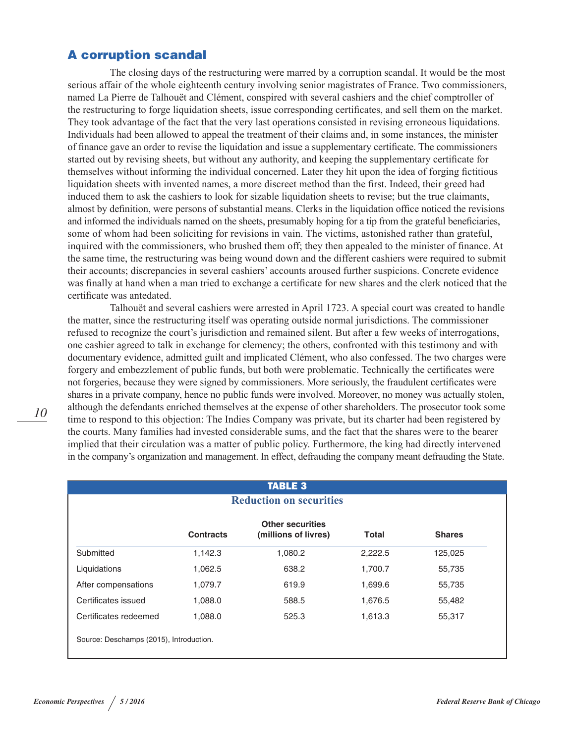# A corruption scandal

The closing days of the restructuring were marred by a corruption scandal. It would be the most serious affair of the whole eighteenth century involving senior magistrates of France. Two commissioners, named La Pierre de Talhouët and Clément, conspired with several cashiers and the chief comptroller of the restructuring to forge liquidation sheets, issue corresponding certificates, and sell them on the market. They took advantage of the fact that the very last operations consisted in revising erroneous liquidations. Individuals had been allowed to appeal the treatment of their claims and, in some instances, the minister of finance gave an order to revise the liquidation and issue a supplementary certificate. The commissioners started out by revising sheets, but without any authority, and keeping the supplementary certificate for themselves without informing the individual concerned. Later they hit upon the idea of forging fictitious liquidation sheets with invented names, a more discreet method than the first. Indeed, their greed had induced them to ask the cashiers to look for sizable liquidation sheets to revise; but the true claimants, almost by definition, were persons of substantial means. Clerks in the liquidation office noticed the revisions and informed the individuals named on the sheets, presumably hoping for a tip from the grateful beneficiaries, some of whom had been soliciting for revisions in vain. The victims, astonished rather than grateful, inquired with the commissioners, who brushed them off; they then appealed to the minister of finance. At the same time, the restructuring was being wound down and the different cashiers were required to submit their accounts; discrepancies in several cashiers' accounts aroused further suspicions. Concrete evidence was finally at hand when a man tried to exchange a certificate for new shares and the clerk noticed that the certificate was antedated.

Talhouët and several cashiers were arrested in April 1723. A special court was created to handle the matter, since the restructuring itself was operating outside normal jurisdictions. The commissioner refused to recognize the court's jurisdiction and remained silent. But after a few weeks of interrogations, one cashier agreed to talk in exchange for clemency; the others, confronted with this testimony and with documentary evidence, admitted guilt and implicated Clément, who also confessed. The two charges were forgery and embezzlement of public funds, but both were problematic. Technically the certificates were not forgeries, because they were signed by commissioners. More seriously, the fraudulent certificates were shares in a private company, hence no public funds were involved. Moreover, no money was actually stolen, although the defendants enriched themselves at the expense of other shareholders. The prosecutor took some time to respond to this objection: The Indies Company was private, but its charter had been registered by the courts. Many families had invested considerable sums, and the fact that the shares were to the bearer implied that their circulation was a matter of public policy. Furthermore, the king had directly intervened in the company's organization and management. In effect, defrauding the company meant defrauding the State.

| <b>TABLE 3</b>                          |                  |                                                 |         |               |  |
|-----------------------------------------|------------------|-------------------------------------------------|---------|---------------|--|
|                                         |                  | <b>Reduction on securities</b>                  |         |               |  |
|                                         | <b>Contracts</b> | <b>Other securities</b><br>(millions of livres) | Total   | <b>Shares</b> |  |
| Submitted                               | 1,142.3          | 1,080.2                                         | 2,222.5 | 125,025       |  |
| Liquidations                            | 1.062.5          | 638.2                                           | 1,700.7 | 55,735        |  |
| After compensations                     | 1,079.7          | 619.9                                           | 1,699.6 | 55,735        |  |
| Certificates issued                     | 1,088.0          | 588.5                                           | 1,676.5 | 55,482        |  |
| Certificates redeemed                   | 1,088.0          | 525.3                                           | 1,613.3 | 55,317        |  |
| Source: Deschamps (2015), Introduction. |                  |                                                 |         |               |  |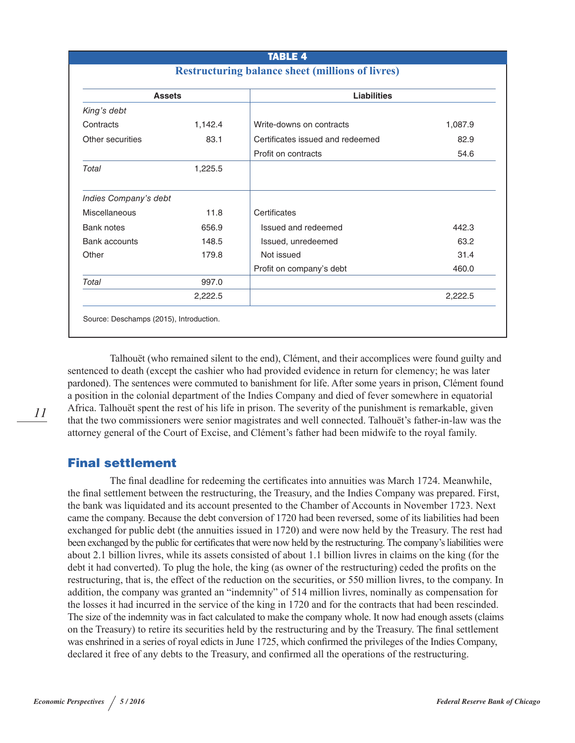#### TABLE 4

## **Restructuring balance sheet (millions of livres)**

|                       | <b>Assets</b> | <b>Liabilities</b>               |         |
|-----------------------|---------------|----------------------------------|---------|
| King's debt           |               |                                  |         |
| Contracts             | 1,142.4       | Write-downs on contracts         | 1,087.9 |
| Other securities      | 83.1          | Certificates issued and redeemed | 82.9    |
|                       |               | Profit on contracts              | 54.6    |
| Total                 | 1,225.5       |                                  |         |
| Indies Company's debt |               |                                  |         |
| <b>Miscellaneous</b>  | 11.8          | Certificates                     |         |
| <b>Bank notes</b>     | 656.9         | Issued and redeemed              | 442.3   |
| <b>Bank accounts</b>  | 148.5         | Issued, unredeemed               | 63.2    |
| Other                 | 179.8         | Not issued                       | 31.4    |
|                       |               | Profit on company's debt         | 460.0   |
| Total                 | 997.0         |                                  |         |
|                       | 2,222.5       |                                  | 2,222.5 |

Talhouët (who remained silent to the end), Clément, and their accomplices were found guilty and sentenced to death (except the cashier who had provided evidence in return for clemency; he was later pardoned). The sentences were commuted to banishment for life. After some years in prison, Clément found a position in the colonial department of the Indies Company and died of fever somewhere in equatorial Africa. Talhouët spent the rest of his life in prison. The severity of the punishment is remarkable, given that the two commissioners were senior magistrates and well connected. Talhouët's father-in-law was the attorney general of the Court of Excise, and Clément's father had been midwife to the royal family.

## Final settlement

The final deadline for redeeming the certificates into annuities was March 1724. Meanwhile, the final settlement between the restructuring, the Treasury, and the Indies Company was prepared. First, the bank was liquidated and its account presented to the Chamber of Accounts in November 1723. Next came the company. Because the debt conversion of 1720 had been reversed, some of its liabilities had been exchanged for public debt (the annuities issued in 1720) and were now held by the Treasury. The rest had been exchanged by the public for certificates that were now held by the restructuring. The company's liabilities were about 2.1 billion livres, while its assets consisted of about 1.1 billion livres in claims on the king (for the debt it had converted). To plug the hole, the king (as owner of the restructuring) ceded the profits on the restructuring, that is, the effect of the reduction on the securities, or 550 million livres, to the company. In addition, the company was granted an "indemnity" of 514 million livres, nominally as compensation for the losses it had incurred in the service of the king in 1720 and for the contracts that had been rescinded. The size of the indemnity was in fact calculated to make the company whole. It now had enough assets (claims on the Treasury) to retire its securities held by the restructuring and by the Treasury. The final settlement was enshrined in a series of royal edicts in June 1725, which confirmed the privileges of the Indies Company, declared it free of any debts to the Treasury, and confirmed all the operations of the restructuring.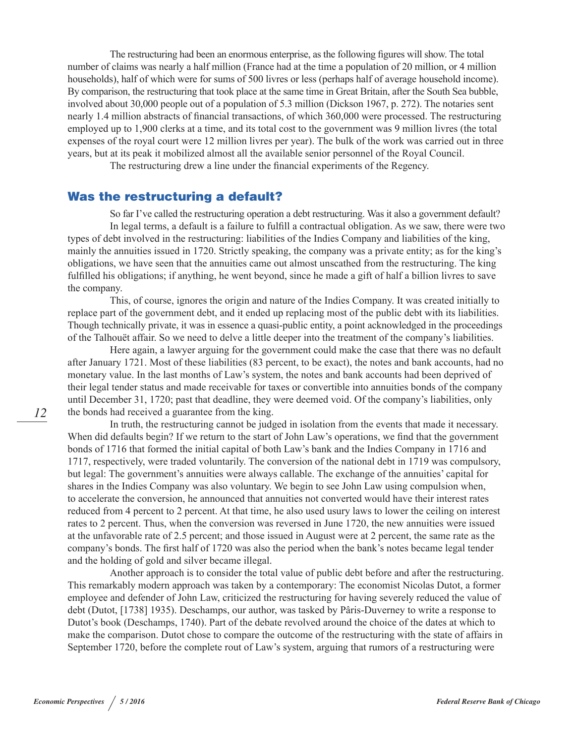The restructuring had been an enormous enterprise, as the following figures will show. The total number of claims was nearly a half million (France had at the time a population of 20 million, or 4 million households), half of which were for sums of 500 livres or less (perhaps half of average household income). By comparison, the restructuring that took place at the same time in Great Britain, after the South Sea bubble, involved about 30,000 people out of a population of 5.3 million (Dickson 1967, p. 272). The notaries sent nearly 1.4 million abstracts of financial transactions, of which 360,000 were processed. The restructuring employed up to 1,900 clerks at a time, and its total cost to the government was 9 million livres (the total expenses of the royal court were 12 million livres per year). The bulk of the work was carried out in three years, but at its peak it mobilized almost all the available senior personnel of the Royal Council.

The restructuring drew a line under the financial experiments of the Regency.

## Was the restructuring a default?

So far I've called the restructuring operation a debt restructuring. Was it also a government default? In legal terms, a default is a failure to fulfill a contractual obligation. As we saw, there were two types of debt involved in the restructuring: liabilities of the Indies Company and liabilities of the king, mainly the annuities issued in 1720. Strictly speaking, the company was a private entity; as for the king's obligations, we have seen that the annuities came out almost unscathed from the restructuring. The king fulfilled his obligations; if anything, he went beyond, since he made a gift of half a billion livres to save the company.

This, of course, ignores the origin and nature of the Indies Company. It was created initially to replace part of the government debt, and it ended up replacing most of the public debt with its liabilities. Though technically private, it was in essence a quasi-public entity, a point acknowledged in the proceedings of the Talhouët affair. So we need to delve a little deeper into the treatment of the company's liabilities.

Here again, a lawyer arguing for the government could make the case that there was no default after January 1721. Most of these liabilities (83 percent, to be exact), the notes and bank accounts, had no monetary value. In the last months of Law's system, the notes and bank accounts had been deprived of their legal tender status and made receivable for taxes or convertible into annuities bonds of the company until December 31, 1720; past that deadline, they were deemed void. Of the company's liabilities, only the bonds had received a guarantee from the king.

In truth, the restructuring cannot be judged in isolation from the events that made it necessary. When did defaults begin? If we return to the start of John Law's operations, we find that the government bonds of 1716 that formed the initial capital of both Law's bank and the Indies Company in 1716 and 1717, respectively, were traded voluntarily. The conversion of the national debt in 1719 was compulsory, but legal: The government's annuities were always callable. The exchange of the annuities' capital for shares in the Indies Company was also voluntary. We begin to see John Law using compulsion when, to accelerate the conversion, he announced that annuities not converted would have their interest rates reduced from 4 percent to 2 percent. At that time, he also used usury laws to lower the ceiling on interest rates to 2 percent. Thus, when the conversion was reversed in June 1720, the new annuities were issued at the unfavorable rate of 2.5 percent; and those issued in August were at 2 percent, the same rate as the company's bonds. The first half of 1720 was also the period when the bank's notes became legal tender and the holding of gold and silver became illegal.

Another approach is to consider the total value of public debt before and after the restructuring. This remarkably modern approach was taken by a contemporary: The economist Nicolas Dutot, a former employee and defender of John Law, criticized the restructuring for having severely reduced the value of debt (Dutot, [1738] 1935). Deschamps, our author, was tasked by Pâris-Duverney to write a response to Dutot's book (Deschamps, 1740). Part of the debate revolved around the choice of the dates at which to make the comparison. Dutot chose to compare the outcome of the restructuring with the state of affairs in September 1720, before the complete rout of Law's system, arguing that rumors of a restructuring were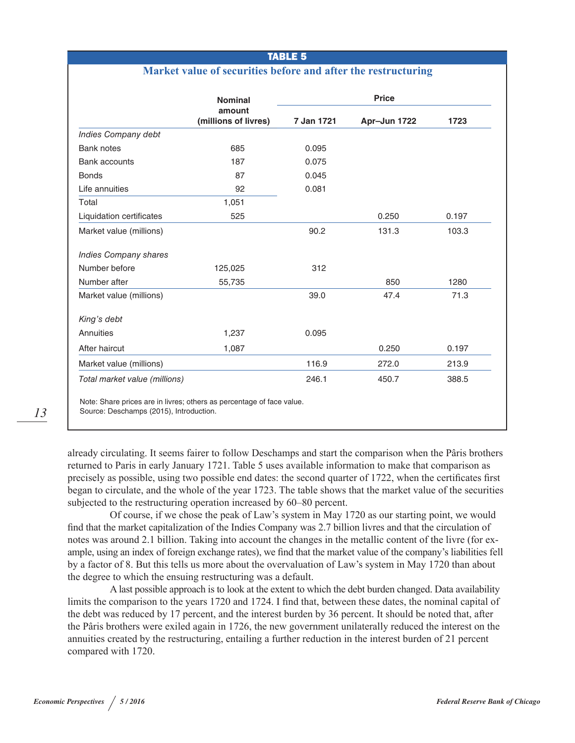#### TABLE 5

#### **Market value of securities before and after the restructuring**

|                               | <b>Nominal</b>                 | <b>Price</b> |              |       |  |
|-------------------------------|--------------------------------|--------------|--------------|-------|--|
|                               | amount<br>(millions of livres) | 7 Jan 1721   | Apr-Jun 1722 | 1723  |  |
| <b>Indies Company debt</b>    |                                |              |              |       |  |
| <b>Bank notes</b>             | 685                            | 0.095        |              |       |  |
| <b>Bank accounts</b>          | 187                            | 0.075        |              |       |  |
| <b>Bonds</b>                  | 87                             | 0.045        |              |       |  |
| Life annuities                | 92                             | 0.081        |              |       |  |
| Total                         | 1,051                          |              |              |       |  |
| Liquidation certificates      | 525                            |              | 0.250        | 0.197 |  |
| Market value (millions)       |                                | 90.2         | 131.3        | 103.3 |  |
| <b>Indies Company shares</b>  |                                |              |              |       |  |
| Number before                 | 125,025                        | 312          |              |       |  |
| Number after                  | 55,735                         |              | 850          | 1280  |  |
| Market value (millions)       |                                | 39.0         | 47.4         | 71.3  |  |
| King's debt                   |                                |              |              |       |  |
| Annuities                     | 1,237                          | 0.095        |              |       |  |
| After haircut                 | 1,087                          |              | 0.250        | 0.197 |  |
| Market value (millions)       |                                | 116.9        | 272.0        | 213.9 |  |
| Total market value (millions) |                                | 246.1        | 450.7        | 388.5 |  |

Source: Deschamps (2015), Introduction.

already circulating. It seems fairer to follow Deschamps and start the comparison when the Pâris brothers returned to Paris in early January 1721. Table 5 uses available information to make that comparison as precisely as possible, using two possible end dates: the second quarter of 1722, when the certificates first began to circulate, and the whole of the year 1723. The table shows that the market value of the securities subjected to the restructuring operation increased by 60–80 percent.

Of course, if we chose the peak of Law's system in May 1720 as our starting point, we would find that the market capitalization of the Indies Company was 2.7 billion livres and that the circulation of notes was around 2.1 billion. Taking into account the changes in the metallic content of the livre (for example, using an index of foreign exchange rates), we find that the market value of the company's liabilities fell by a factor of 8. But this tells us more about the overvaluation of Law's system in May 1720 than about the degree to which the ensuing restructuring was a default.

A last possible approach is to look at the extent to which the debt burden changed. Data availability limits the comparison to the years 1720 and 1724. I find that, between these dates, the nominal capital of the debt was reduced by 17 percent, and the interest burden by 36 percent. It should be noted that, after the Pâris brothers were exiled again in 1726, the new government unilaterally reduced the interest on the annuities created by the restructuring, entailing a further reduction in the interest burden of 21 percent compared with 1720.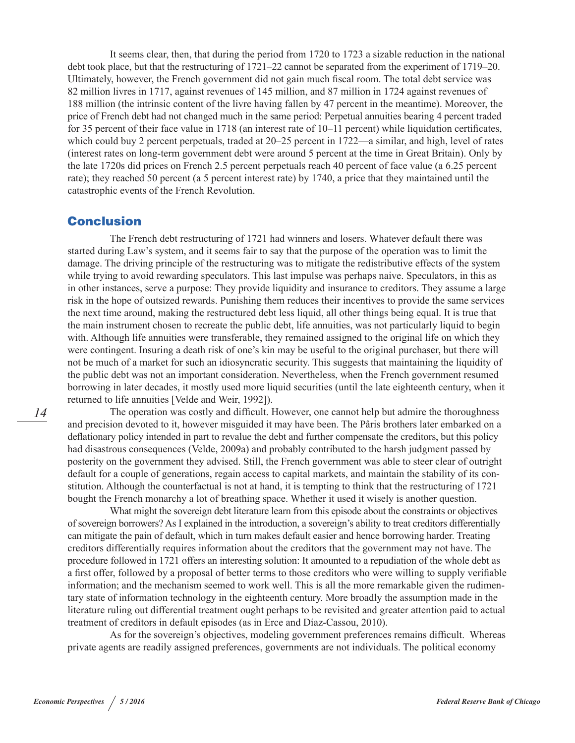It seems clear, then, that during the period from 1720 to 1723 a sizable reduction in the national debt took place, but that the restructuring of 1721–22 cannot be separated from the experiment of 1719–20. Ultimately, however, the French government did not gain much fiscal room. The total debt service was 82 million livres in 1717, against revenues of 145 million, and 87 million in 1724 against revenues of 188 million (the intrinsic content of the livre having fallen by 47 percent in the meantime). Moreover, the price of French debt had not changed much in the same period: Perpetual annuities bearing 4 percent traded for 35 percent of their face value in 1718 (an interest rate of 10–11 percent) while liquidation certificates, which could buy 2 percent perpetuals, traded at  $20-25$  percent in 1722—a similar, and high, level of rates (interest rates on long-term government debt were around 5 percent at the time in Great Britain). Only by the late 1720s did prices on French 2.5 percent perpetuals reach 40 percent of face value (a 6.25 percent rate); they reached 50 percent (a 5 percent interest rate) by 1740, a price that they maintained until the catastrophic events of the French Revolution.

#### Conclusion

The French debt restructuring of 1721 had winners and losers. Whatever default there was started during Law's system, and it seems fair to say that the purpose of the operation was to limit the damage. The driving principle of the restructuring was to mitigate the redistributive effects of the system while trying to avoid rewarding speculators. This last impulse was perhaps naive. Speculators, in this as in other instances, serve a purpose: They provide liquidity and insurance to creditors. They assume a large risk in the hope of outsized rewards. Punishing them reduces their incentives to provide the same services the next time around, making the restructured debt less liquid, all other things being equal. It is true that the main instrument chosen to recreate the public debt, life annuities, was not particularly liquid to begin with. Although life annuities were transferable, they remained assigned to the original life on which they were contingent. Insuring a death risk of one's kin may be useful to the original purchaser, but there will not be much of a market for such an idiosyncratic security. This suggests that maintaining the liquidity of the public debt was not an important consideration. Nevertheless, when the French government resumed borrowing in later decades, it mostly used more liquid securities (until the late eighteenth century, when it returned to life annuities [Velde and Weir, 1992]).

The operation was costly and difficult. However, one cannot help but admire the thoroughness and precision devoted to it, however misguided it may have been. The Pâris brothers later embarked on a deflationary policy intended in part to revalue the debt and further compensate the creditors, but this policy had disastrous consequences (Velde, 2009a) and probably contributed to the harsh judgment passed by posterity on the government they advised. Still, the French government was able to steer clear of outright default for a couple of generations, regain access to capital markets, and maintain the stability of its constitution. Although the counterfactual is not at hand, it is tempting to think that the restructuring of 1721 bought the French monarchy a lot of breathing space. Whether it used it wisely is another question.

What might the sovereign debt literature learn from this episode about the constraints or objectives of sovereign borrowers? As I explained in the introduction, a sovereign's ability to treat creditors differentially can mitigate the pain of default, which in turn makes default easier and hence borrowing harder. Treating creditors differentially requires information about the creditors that the government may not have. The procedure followed in 1721 offers an interesting solution: It amounted to a repudiation of the whole debt as a first offer, followed by a proposal of better terms to those creditors who were willing to supply verifiable information; and the mechanism seemed to work well. This is all the more remarkable given the rudimentary state of information technology in the eighteenth century. More broadly the assumption made in the literature ruling out differential treatment ought perhaps to be revisited and greater attention paid to actual treatment of creditors in default episodes (as in Erce and Díaz-Cassou, 2010).

As for the sovereign's objectives, modeling government preferences remains difficult. Whereas private agents are readily assigned preferences, governments are not individuals. The political economy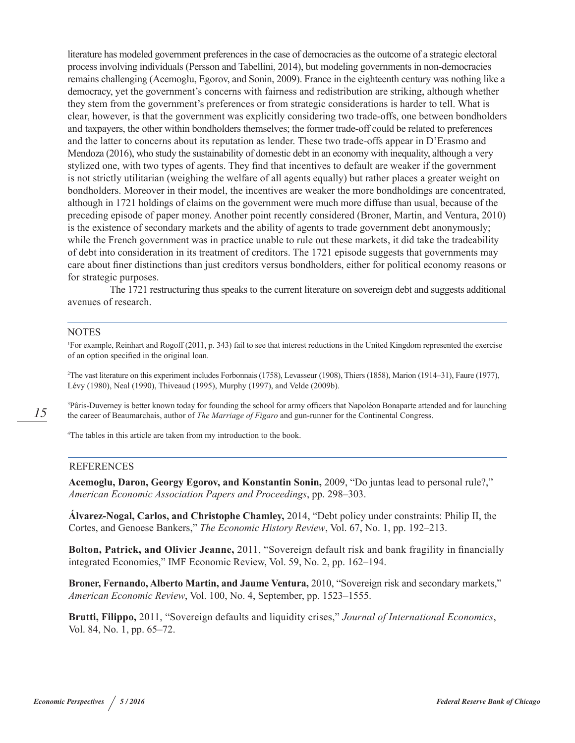literature has modeled government preferences in the case of democracies as the outcome of a strategic electoral process involving individuals (Persson and Tabellini, 2014), but modeling governments in non-democracies remains challenging (Acemoglu, Egorov, and Sonin, 2009). France in the eighteenth century was nothing like a democracy, yet the government's concerns with fairness and redistribution are striking, although whether they stem from the government's preferences or from strategic considerations is harder to tell. What is clear, however, is that the government was explicitly considering two trade-offs, one between bondholders and taxpayers, the other within bondholders themselves; the former trade-off could be related to preferences and the latter to concerns about its reputation as lender. These two trade-offs appear in D'Erasmo and Mendoza (2016), who study the sustainability of domestic debt in an economy with inequality, although a very stylized one, with two types of agents. They find that incentives to default are weaker if the government is not strictly utilitarian (weighing the welfare of all agents equally) but rather places a greater weight on bondholders. Moreover in their model, the incentives are weaker the more bondholdings are concentrated, although in 1721 holdings of claims on the government were much more diffuse than usual, because of the preceding episode of paper money. Another point recently considered (Broner, Martin, and Ventura, 2010) is the existence of secondary markets and the ability of agents to trade government debt anonymously; while the French government was in practice unable to rule out these markets, it did take the tradeability of debt into consideration in its treatment of creditors. The 1721 episode suggests that governments may care about finer distinctions than just creditors versus bondholders, either for political economy reasons or for strategic purposes.

The 1721 restructuring thus speaks to the current literature on sovereign debt and suggests additional avenues of research.

#### **NOTES**

1 For example, Reinhart and Rogoff (2011, p. 343) fail to see that interest reductions in the United Kingdom represented the exercise of an option specified in the original loan.

2 The vast literature on this experiment includes Forbonnais (1758), Levasseur (1908), Thiers (1858), Marion (1914–31), Faure (1977), Lévy (1980), Neal (1990), Thiveaud (1995), Murphy (1997), and Velde (2009b).

3 Pâris-Duverney is better known today for founding the school for army officers that Napoléon Bonaparte attended and for launching the career of Beaumarchais, author of *The Marriage of Figaro* and gun-runner for the Continental Congress.

4 The tables in this article are taken from my introduction to the book.

#### REFERENCES

**Acemoglu, Daron, Georgy Egorov, and Konstantin Sonin,** 2009, "Do juntas lead to personal rule?," *American Economic Association Papers and Proceedings*, pp. 298–303.

**Álvarez-Nogal, Carlos, and Christophe Chamley,** 2014, "Debt policy under constraints: Philip II, the Cortes, and Genoese Bankers," *The Economic History Review*, Vol. 67, No. 1, pp. 192–213.

**Bolton, Patrick, and Olivier Jeanne,** 2011, "Sovereign default risk and bank fragility in financially integrated Economies," IMF Economic Review, Vol. 59, No. 2, pp. 162–194.

**Broner, Fernando, Alberto Martin, and Jaume Ventura,** 2010, "Sovereign risk and secondary markets," *American Economic Review*, Vol. 100, No. 4, September, pp. 1523–1555.

**Brutti, Filippo,** 2011, "Sovereign defaults and liquidity crises," *Journal of International Economics*, Vol. 84, No. 1, pp. 65–72.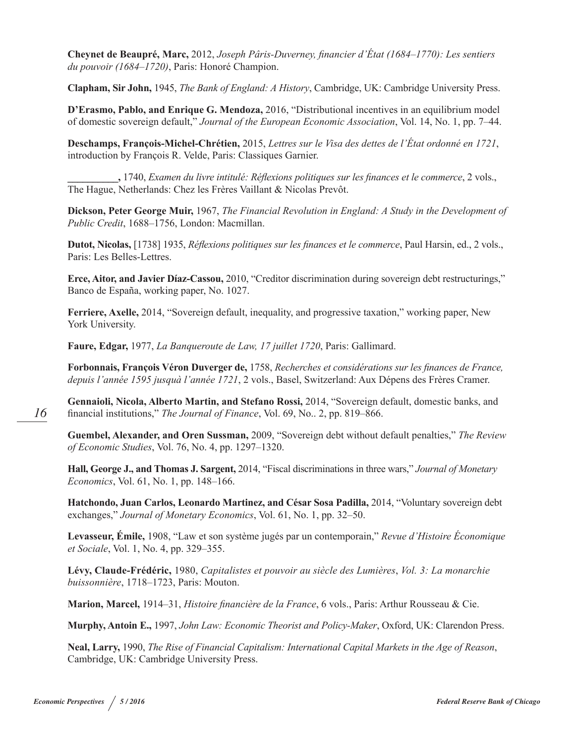**Cheynet de Beaupré, Marc,** 2012, *Joseph Pâris-Duverney, financier d'État (1684–1770): Les sentiers du pouvoir (1684–1720)*, Paris: Honoré Champion.

**Clapham, Sir John,** 1945, *The Bank of England: A History*, Cambridge, UK: Cambridge University Press.

**D'Erasmo, Pablo, and Enrique G. Mendoza,** 2016, "Distributional incentives in an equilibrium model of domestic sovereign default," *Journal of the European Economic Association*, Vol. 14, No. 1, pp. 7–44.

**Deschamps, François-Michel-Chrétien,** 2015, *Lettres sur le Visa des dettes de l'État ordonné en 1721*, introduction by François R. Velde, Paris: Classiques Garnier.

**\_\_\_\_\_\_\_\_\_\_,** 1740, *Examen du livre intitulé: Réflexions politiques sur les finances et le commerce*, 2 vols., The Hague, Netherlands: Chez les Frères Vaillant & Nicolas Prevôt.

**Dickson, Peter George Muir,** 1967, *The Financial Revolution in England: A Study in the Development of Public Credit*, 1688–1756, London: Macmillan.

**Dutot, Nicolas,** [1738] 1935, *Réflexions politiques sur les finances et le commerce*, Paul Harsin, ed., 2 vols., Paris: Les Belles-Lettres.

**Erce, Aitor, and Javier Díaz-Cassou,** 2010, "Creditor discrimination during sovereign debt restructurings," Banco de España, working paper, No. 1027.

**Ferriere, Axelle,** 2014, "Sovereign default, inequality, and progressive taxation," working paper, New York University.

**Faure, Edgar,** 1977, *La Banqueroute de Law, 17 juillet 1720*, Paris: Gallimard.

**Forbonnais, François Véron Duverger de,** 1758, *Recherches et considérations sur les finances de France, depuis l'année 1595 jusquà l'année 1721*, 2 vols., Basel, Switzerland: Aux Dépens des Frères Cramer.

**Gennaioli, Nicola, Alberto Martin, and Stefano Rossi,** 2014, "Sovereign default, domestic banks, and financial institutions," *The Journal of Finance*, Vol. 69, No.. 2, pp. 819–866.

**Guembel, Alexander, and Oren Sussman,** 2009, "Sovereign debt without default penalties," *The Review of Economic Studies*, Vol. 76, No. 4, pp. 1297–1320.

**Hall, George J., and Thomas J. Sargent,** 2014, "Fiscal discriminations in three wars," *Journal of Monetary Economics*, Vol. 61, No. 1, pp. 148–166.

**Hatchondo, Juan Carlos, Leonardo Martinez, and César Sosa Padilla,** 2014, "Voluntary sovereign debt exchanges," *Journal of Monetary Economics*, Vol. 61, No. 1, pp. 32–50.

**Levasseur, Émile,** 1908, "Law et son système jugés par un contemporain," *Revue d'Histoire Économique et Sociale*, Vol. 1, No. 4, pp. 329–355.

**Lévy, Claude-Frédéric,** 1980, *Capitalistes et pouvoir au siècle des Lumières*, *Vol. 3: La monarchie buissonnière*, 1718–1723, Paris: Mouton.

**Marion, Marcel,** 1914–31, *Histoire financière de la France*, 6 vols., Paris: Arthur Rousseau & Cie.

**Murphy, Antoin E.,** 1997, *John Law: Economic Theorist and Policy-Maker*, Oxford, UK: Clarendon Press.

**Neal, Larry,** 1990, *The Rise of Financial Capitalism: International Capital Markets in the Age of Reason*, Cambridge, UK: Cambridge University Press.